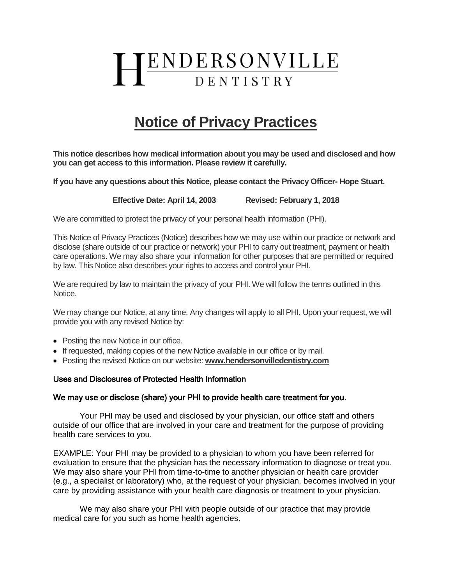# ENDERSONVILLE DENTISTRY

# **Notice of Privacy Practices**

**This notice describes how medical information about you may be used and disclosed and how you can get access to this information. Please review it carefully.**

**If you have any questions about this Notice, please contact the Privacy Officer- Hope Stuart.**

**Effective Date: April 14, 2003 Revised: February 1, 2018**

We are committed to protect the privacy of your personal health information (PHI).

This Notice of Privacy Practices (Notice) describes how we may use within our practice or network and disclose (share outside of our practice or network) your PHI to carry out treatment, payment or health care operations. We may also share your information for other purposes that are permitted or required by law. This Notice also describes your rights to access and control your PHI.

We are required by law to maintain the privacy of your PHI. We will follow the terms outlined in this Notice.

We may change our Notice, at any time. Any changes will apply to all PHI. Upon your request, we will provide you with any revised Notice by:

- Posting the new Notice in our office.
- If requested, making copies of the new Notice available in our office or by mail.
- Posting the revised Notice on our website: **www.hendersonvilledentistry.com**

#### Uses and Disclosures of Protected Health Information

#### We may use or disclose (share) your PHI to provide health care treatment for you.

 Your PHI may be used and disclosed by your physician, our office staff and others outside of our office that are involved in your care and treatment for the purpose of providing health care services to you.

EXAMPLE: Your PHI may be provided to a physician to whom you have been referred for evaluation to ensure that the physician has the necessary information to diagnose or treat you. We may also share your PHI from time-to-time to another physician or health care provider (e.g., a specialist or laboratory) who, at the request of your physician, becomes involved in your care by providing assistance with your health care diagnosis or treatment to your physician.

We may also share your PHI with people outside of our practice that may provide medical care for you such as home health agencies.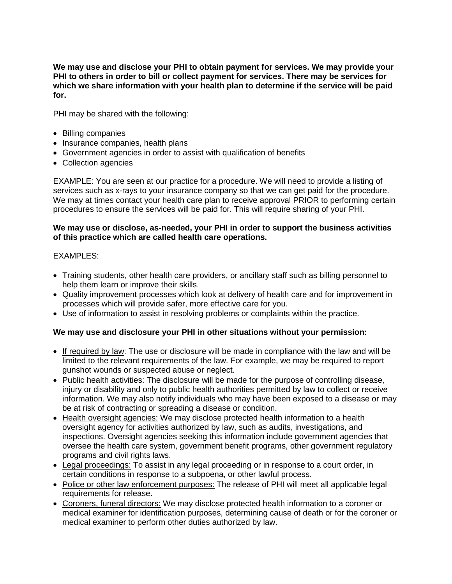**We may use and disclose your PHI to obtain payment for services. We may provide your PHI to others in order to bill or collect payment for services. There may be services for which we share information with your health plan to determine if the service will be paid for.**

PHI may be shared with the following:

- Billing companies
- Insurance companies, health plans
- Government agencies in order to assist with qualification of benefits
- Collection agencies

EXAMPLE: You are seen at our practice for a procedure. We will need to provide a listing of services such as x-rays to your insurance company so that we can get paid for the procedure. We may at times contact your health care plan to receive approval PRIOR to performing certain procedures to ensure the services will be paid for. This will require sharing of your PHI.

# **We may use or disclose, as-needed, your PHI in order to support the business activities of this practice which are called health care operations.**

# EXAMPLES:

- Training students, other health care providers, or ancillary staff such as billing personnel to help them learn or improve their skills.
- Quality improvement processes which look at delivery of health care and for improvement in processes which will provide safer, more effective care for you.
- Use of information to assist in resolving problems or complaints within the practice.

# **We may use and disclosure your PHI in other situations without your permission:**

- If required by law: The use or disclosure will be made in compliance with the law and will be limited to the relevant requirements of the law. For example, we may be required to report gunshot wounds or suspected abuse or neglect.
- Public health activities: The disclosure will be made for the purpose of controlling disease, injury or disability and only to public health authorities permitted by law to collect or receive information. We may also notify individuals who may have been exposed to a disease or may be at risk of contracting or spreading a disease or condition.
- Health oversight agencies: We may disclose protected health information to a health oversight agency for activities authorized by law, such as audits, investigations, and inspections. Oversight agencies seeking this information include government agencies that oversee the health care system, government benefit programs, other government regulatory programs and civil rights laws.
- Legal proceedings: To assist in any legal proceeding or in response to a court order, in certain conditions in response to a subpoena, or other lawful process.
- Police or other law enforcement purposes: The release of PHI will meet all applicable legal requirements for release.
- Coroners, funeral directors: We may disclose protected health information to a coroner or medical examiner for identification purposes, determining cause of death or for the coroner or medical examiner to perform other duties authorized by law.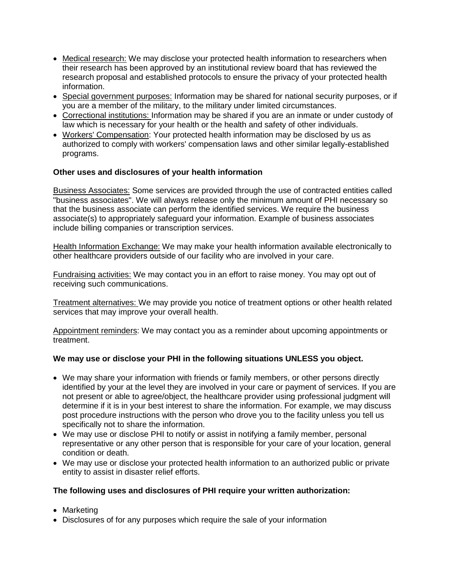- Medical research: We may disclose your protected health information to researchers when their research has been approved by an institutional review board that has reviewed the research proposal and established protocols to ensure the privacy of your protected health information.
- Special government purposes: Information may be shared for national security purposes, or if you are a member of the military, to the military under limited circumstances.
- Correctional institutions: Information may be shared if you are an inmate or under custody of law which is necessary for your health or the health and safety of other individuals.
- Workers' Compensation: Your protected health information may be disclosed by us as authorized to comply with workers' compensation laws and other similar legally-established programs.

# **Other uses and disclosures of your health information**

Business Associates: Some services are provided through the use of contracted entities called "business associates". We will always release only the minimum amount of PHI necessary so that the business associate can perform the identified services. We require the business associate(s) to appropriately safeguard your information. Example of business associates include billing companies or transcription services.

Health Information Exchange: We may make your health information available electronically to other healthcare providers outside of our facility who are involved in your care.

Fundraising activities: We may contact you in an effort to raise money. You may opt out of receiving such communications.

Treatment alternatives: We may provide you notice of treatment options or other health related services that may improve your overall health.

Appointment reminders: We may contact you as a reminder about upcoming appointments or treatment.

# **We may use or disclose your PHI in the following situations UNLESS you object.**

- We may share your information with friends or family members, or other persons directly identified by your at the level they are involved in your care or payment of services. If you are not present or able to agree/object, the healthcare provider using professional judgment will determine if it is in your best interest to share the information. For example, we may discuss post procedure instructions with the person who drove you to the facility unless you tell us specifically not to share the information.
- We may use or disclose PHI to notify or assist in notifying a family member, personal representative or any other person that is responsible for your care of your location, general condition or death.
- We may use or disclose your protected health information to an authorized public or private entity to assist in disaster relief efforts.

# **The following uses and disclosures of PHI require your written authorization:**

- Marketing
- Disclosures of for any purposes which require the sale of your information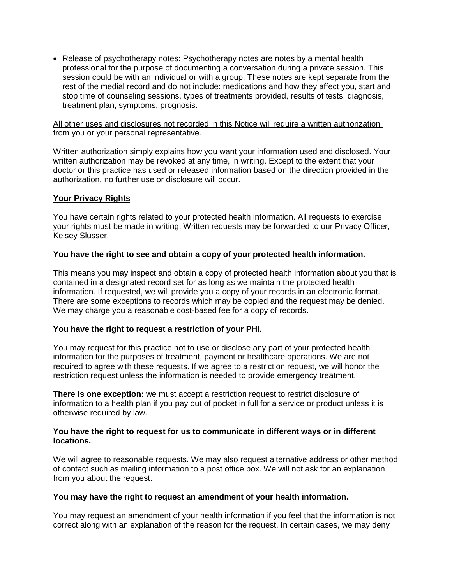• Release of psychotherapy notes: Psychotherapy notes are notes by a mental health professional for the purpose of documenting a conversation during a private session. This session could be with an individual or with a group. These notes are kept separate from the rest of the medial record and do not include: medications and how they affect you, start and stop time of counseling sessions, types of treatments provided, results of tests, diagnosis, treatment plan, symptoms, prognosis.

#### All other uses and disclosures not recorded in this Notice will require a written authorization from you or your personal representative.

Written authorization simply explains how you want your information used and disclosed. Your written authorization may be revoked at any time, in writing. Except to the extent that your doctor or this practice has used or released information based on the direction provided in the authorization, no further use or disclosure will occur.

# **Your Privacy Rights**

You have certain rights related to your protected health information. All requests to exercise your rights must be made in writing. Written requests may be forwarded to our Privacy Officer, Kelsey Slusser.

# **You have the right to see and obtain a copy of your protected health information.**

This means you may inspect and obtain a copy of protected health information about you that is contained in a designated record set for as long as we maintain the protected health information. If requested, we will provide you a copy of your records in an electronic format. There are some exceptions to records which may be copied and the request may be denied. We may charge you a reasonable cost-based fee for a copy of records.

#### **You have the right to request a restriction of your PHI.**

You may request for this practice not to use or disclose any part of your protected health information for the purposes of treatment, payment or healthcare operations. We are not required to agree with these requests. If we agree to a restriction request, we will honor the restriction request unless the information is needed to provide emergency treatment.

**There is one exception:** we must accept a restriction request to restrict disclosure of information to a health plan if you pay out of pocket in full for a service or product unless it is otherwise required by law.

# **You have the right to request for us to communicate in different ways or in different locations.**

We will agree to reasonable requests. We may also request alternative address or other method of contact such as mailing information to a post office box. We will not ask for an explanation from you about the request.

#### **You may have the right to request an amendment of your health information.**

You may request an amendment of your health information if you feel that the information is not correct along with an explanation of the reason for the request. In certain cases, we may deny